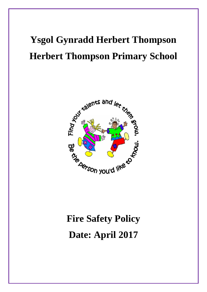# **Ysgol Gynradd Herbert Thompson Herbert Thompson Primary School**



# **Fire Safety Policy Date: April 2017**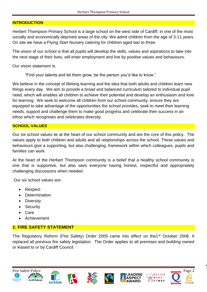#### **INTRODUCTION**

Herbert Thompson Primary School is a large school on the west side of Cardiff, in one of the most socially and economically deprived areas of the city. We admit children from the age of 3-11 years. On site we have a Flying Start Nursery catering for children aged two to three.

The vision of our school is that all pupils will develop the skills, values and aspirations to take into the next stage of their lives, will enter employment and live by positive values and behaviours.

Our vision statement is:

"Find your talents and let them grow, be the person you'd like to know."

We believe in the concept of lifelong learning and the idea that both adults and children learn new things every day. We aim to provide a broad and balanced curriculum tailored to individual pupil need, which will enables all children to achieve their potential and develop an enthusiasm and love for learning. We seek to welcome all children from our school community, ensure they are equipped to take advantage of the opportunities the school provides, seek to meet their learning needs, support and challenge them to make good progress and celebrate their success in an ethos which recognises and celebrates diversity.

### **SCHOOL VALUES**

Our six school values lie at the heart of our school community and are the core of this policy. The values apply to both children and adults and all relationships across the school. These values and behaviours give a supporting, but also challenging, framework within which colleagues, pupils and families can work.

At the heart of the Herbert Thompson community is a belief that a healthy school community is one that is supportive, but also sees everyone having honest, respectful and appropriately challenging discussions when needed.

Our six school values are:

- Respect
- Determination
- Diversity
- Security
- Care
- Achievement

## **1: FIRE SAFETY STATEMENT**

The Regulatory Reform (Fire Safety) Order 2005 came into effect on the 1<sup>st</sup> October 2006. It replaced all previous fire safety legislation. The Order applies to all premises and building owned or leased to or by Cardiff Council.













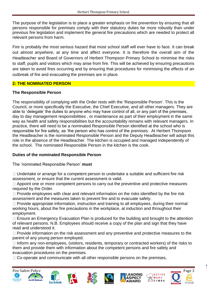The purpose of the legislation is to place a greater emphasis on fire prevention by ensuring that all persons responsible for premises comply with their statutory duties far more robustly than under previous fire legislation and implement the general fire precautions which are needed to protect all relevant persons from harm.

Fire is probably the most serious hazard that most school staff will ever have to face. It can break out almost anywhere, at any time and affect everyone. It is therefore the overall aim of the Headteacher and Board of Governors of Herbert Thompson Primary School to minimise the risks to staff, pupils and visitors which may arise from fire. This will be achieved by ensuring precautions are taken to avoid fires occurring and by ensuring that procedures for minimising the effects of an outbreak of fire and evacuating the premises are in place.

### **2: THE NOMINATED PERSON**

### **The Responsible Person**

The responsibility of complying with the Order rests with the 'Responsible Person'. This is the Council, or more specifically the Executive, the Chief Executive, and all other managers. They are able to 'delegate' the duties to anyone who may have control of all, or any part of the premises, day to day management responsibilities , or maintenance as part of their employment in the same way as health and safety responsibilities but the accountability remains with relevant managers. In practice, there will need to be a nominated Responsible Person identified at the school who is responsible for fire safety, as 'the person who has control of the premises. At Herbert Thompson the Headteacher is the nominated Responsible Person and the Deputy Headteacher will adopt this role in the absence of the Headteacher. The kitchen is occupied and managed independently of the school. The nominated Responsible Person in the kitchen is the cook.

## **Duties of the nominated Responsible Person**

The 'nominated Responsible Person' **must** 

 $\Box$  Undertake or arrange for a competent person to undertake a suitable and sufficient fire risk assessment, or ensure that the current assessment is valid.

 $\Box$  Appoint one or more competent persons to carry out the preventive and protective measures required by the Order.

 $\Box$  Provide employees with clear and relevant information on the risks identified by the fire risk assessment and the measures taken to prevent fire and to evacuate safely.

 $\Box$  Provide appropriate information, instruction and training to all employees, during their normal working hours, about the fire precautions in the workplace, at induction and throughout their employment.

 $\Box$  Ensure an Emergency Evacuation Plan is produced for the building and brought to the attention of relevant persons. N.B. Employees should receive a copy of the plan and sign that they have read and understood it.

 $\Box$  Provide information on the risk assessment and any preventive and protective measures to the parent of any young person employed.

 $\Box$  Inform any non-employees, (visitors, residents, temporary or contracted workers) of the risks to them and provide them with information about the competent persons and fire safety and evacuation procedures on the premises.

 $\Box$  Co-operate and communicate with all other responsible persons on the premises,













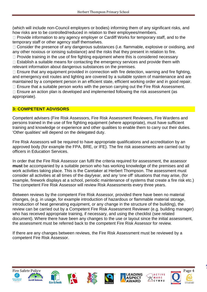(which will include non-Council employers or bodies) informing them of any significant risks, and how risks are to be controlled/reduced in relation to their employees/members.

 $\Box$  Provide information to any agency employer or Cardiff Works for temporary staff, and to the temporary staff or other agency staff themselves.

 $\Box$  Consider the presence of any dangerous substances (i.e. flammable, explosive or oxidising, and any other noxious or ionising substance) and the risks that they present in relation to fire.

 $\Box$  Provide training in the use of fire fighting equipment where this is considered necessary

 $\Box$  Establish a suitable means for contacting the emergency services and provide them with relevant information about dangerous substances on the premises.

 $\Box$  Ensure that any equipment provided in connection with fire detection, warning and fire fighting, and emergency exit routes and lighting are covered by a suitable system of maintenance and are maintained by a competent person in an efficient state, efficient working order and in good repair.

 $\Box$  Ensure that a suitable person works with the person carrying out the Fire Risk Assessment.  $\Box$  Ensure an action plan is developed and implemented following the risk assessment (as appropriate).

## **3: COMPETENT ADVISORS**

Competent advisers (Fire Risk Assessors, Fire Risk Assessment Reviewers, Fire Wardens and persons trained in the use of fire fighting equipment (where appropriate), must have sufficient training and knowledge or experience and other qualities to enable them to carry out their duties. 'Other qualities' will depend on the delegated duty.

Fire Risk Assessors will be required to have appropriate qualifications and accreditation by an approved body (for example the FPA, BRE, or IFE). The fire risk assessments are carried out by officers in Education Services.

In order that the Fire Risk Assessor can fulfil the criteria required for assessment, the assessor **must** be accompanied by a suitable person who has working knowledge of the premises and all work activities taking place. This is the Caretaker at Herbert Thompson. The assessment must consider all activities at all times of the day/year, and any 'one off' situations that may arise, (for example, firework displays at a school, periodic maintenance of systems that create a fire risk etc.) The competent Fire Risk Assessor will review Risk Assessments every three years.

Between reviews by the competent Fire Risk Assessor, provided there have been no material changes, (e.g. in usage, for example introduction of hazardous or flammable material storage, introduction of heat generating equipment, or any change in the structure of the building), the review can be carried out by a Competent Fire Risk Assessment Reviewer (e.g. building manager) who has received appropriate training, if necessary, and using the checklist (see related document). Where there have been any changes to the use or layout since the initial assessment, the assessment must be referred back to the competent Fire Risk Assessor for review.

If there are any changes between reviews, the Fire Risk Assessment must be reviewed by a competent Fire Risk Assessor.















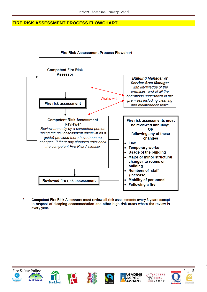#### **FIRE RISK ASSESSMENT PROCESS FLOWCHART**



Competent Fire Risk Assessors must review all risk assessments every 3 years except in respect of sleeping accommodation and other high risk areas where the review is every year.















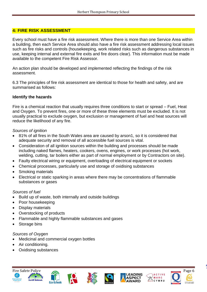## **4: FIRE RISK ASSESSMENT**

Every school must have a fire risk assessment. Where there is more than one Service Area within a building, then each Service Area should also have a fire risk assessment addressing local issues such as fire risks and controls (housekeeping, work related risks such as dangerous substances in use, keeping internal and external fire exits and fire doors clear). This information must be made available to the competent Fire Risk Assessor.

An action plan should be developed and implemented reflecting the findings of the risk assessment.

6.3 The principles of fire risk assessment are identical to those for health and safety, and are summarised as follows:

### **Identify the hazards**

Fire is a chemical reaction that usually requires three conditions to start or spread – Fuel, Heat and Oxygen. To prevent fires, one or more of these three elements must be excluded. It is not usually practical to exclude oxygen, but exclusion or management of fuel and heat sources will reduce the likelihood of any fire.

#### *Sources of ignition*

- 81% of all fires in the South Wales area are caused by arson1, so it is considered that adequate security and removal of all accessible fuel sources is vital.
- Consideration of all ignition sources within the building and processes should be made including naked flames, heaters, cookers, ovens, engines, or work processes (hot work, welding, cutting, tar boilers either as part of normal employment or by Contractors on site).
- Faulty electrical wiring or equipment, overloading of electrical equipment or sockets
- Chemical processes, particularly use and storage of oxidising substances
- Smoking materials
- Electrical or static sparking in areas where there may be concentrations of flammable substances or gases

#### *Sources of fuel*

- Build up of waste, both internally and outside buildings
- Poor housekeeping
- Display materials
- Overstocking of products
- Flammable and highly flammable substances and gases
- Storage bins

#### *Sources of Oxygen*

- Medicinal and commercial oxygen bottles
- Air conditioning.
- Oxidising substances















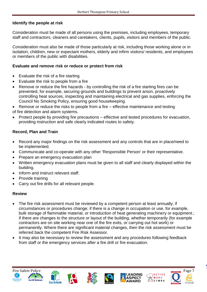## **Identify the people at risk**

Consideration must be made of all persons using the premises, including employees, temporary staff and contractors, cleaners and caretakers, clients, pupils, visitors and members of the public.

Consideration must also be made of those particularly at risk, including those working alone or in isolation, children, new or expectant mothers, elderly and infirm visitors/ residents, and employees or members of the public with disabilities.

### **Evaluate and remove risk or reduce or protect from risk**

- Evaluate the risk of a fire starting
- Evaluate the risk to people from a fire
- Remove or reduce the fire hazards by controlling the risk of a fire starting fires can be prevented, for example, securing grounds and buildings to prevent arson, proactively controlling heat sources, inspecting and maintaining electrical and gas supplies, enforcing the Council No Smoking Policy, ensuring good housekeeping.

Remove or reduce the risks to people from a fire – effective maintenance and testing of fire detection and alarm systems.

• Protect people by providing fire precautions – effective and tested procedures for evacuation, providing instruction and safe clearly indicated routes to safety.

## **Record, Plan and Train**

- Record any major findings on the risk assessment and any controls that are in place/need to be implemented.
- Communicate and co-operate with any other 'Responsible Person' or their representative.
- Prepare an emergency evacuation plan
- Written emergency evacuation plans must be given to all staff and clearly displayed within the building.
- Inform and instruct relevant staff.
- Provide training
- Carry out fire drills for all relevant people.

## **Review**

- The fire risk assessment must be reviewed by a competent person at least annually; if circumstances or procedures change; if there is a change in occupation or use, for example, bulk storage of flammable material, or introduction of heat generating machinery or equipment.; if there are changes to the structure or layout of the building, whether temporarily (for example contractors are on site working near one of the fire exits, or carrying out hot work) or permanently. Where there are significant material changes, then the risk assessment must be referred back the competent Fire Risk Assessor.
- It may also be necessary to review the assessment and any procedures following feedback from staff or the emergency services after a fire drill or fire evacuation.















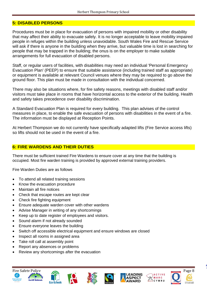#### **5: DISABLED PERSONS**

Procedures must be in place for evacuation of persons with impaired mobility or other disability that may affect their ability to evacuate safely. It is no longer acceptable to leave mobility impaired people in refuges within the building unless unavoidable. South Wales Fire and Rescue Service will ask if there is anyone in the building when they arrive, but valuable time is lost in searching for people that may be trapped in the building; the onus is on the employer to make suitable arrangements for full evacuation of disabled persons.

Staff, or regular users of facilities, with disabilities may need an individual 'Personal Emergency Evacuation Plan' (PEEP) to ensure that suitable assistance (including trained staff as appropriate) or equipment is available at relevant Council venues where they may be required to go above the ground floor. This plan must be made in consultation with the individual concerned.

There may also be situations where, for fire safety reasons, meetings with disabled staff and/or visitors must take place in rooms that have horizontal access to the exterior of the building. Health and safety takes precedence over disability discrimination.

A Standard Evacuation Plan is required for every building. This plan advises of the control measures in place, to enable the safe evacuation of persons with disabilities in the event of a fire. The information must be displayed at Reception Points.

At Herbert Thompson we do not currently have specifically adapted lifts (Fire Service access lifts) so lifts should not be used in the event of a fire.

#### **6: FIRE WARDENS AND THEIR DUTIES**

There must be sufficient trained Fire Wardens to ensure cover at any time that the building is occupied. Most fire warden training is provided by approved external training providers.

Fire Warden Duties are as follows

- To attend all related training sessions
- Know the evacuation procedure
- Maintain all fire notices
- Check that escape routes are kept clear
- Check fire fighting equipment
- Ensure adequate warden cover with other wardens
- Advise Manager in writing of any shortcomings
- Keep up to date register of employees and visitors.
- Sound alarm if not already sounded
- Ensure everyone leaves the building
- Switch off accessible electrical equipment and ensure windows are closed
- Inspect all rooms in assigned area
- Take roll call at assembly point
- Report any absences or problems
- Review any shortcomings after the evacuation















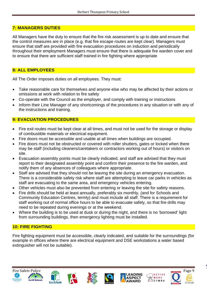## **7: MANAGERS DUTIES**

All Managers have the duty to ensure that the fire risk assessment is up to date and ensure that the control measures are in place (e.g. that fire escape routes are kept clear). Managers must ensure that staff are provided with fire evacuation procedures on induction and periodically throughout their employment Managers must ensure that there is adequate fire warden cover and to ensure that there are sufficient staff trained in fire fighting where appropriate

## **8: ALL EMPLOYEES**

All The Order imposes duties on all employees. They must:

- Take reasonable care for themselves and anyone else who may be affected by their actions or omissions at work with relation to fire safety
- Co-operate with the Council as the employer, and comply with training or instructions
- Inform their Line Manager of any shortcomings of the procedures in any situation or with any of the instructions and training.

## **9: EVACUATION PROCEDURES**

- Fire exit routes must be kept clear at all times, and must not be used for the storage or display of combustible materials or electrical equipment.
- Fire doors must be accessible and usable at all times when buildings are occupied.
- Fire doors must not be obstructed or covered with roller shutters, gates or locked when there may be staff (including cleaners/caretakers or contractors working out of hours) or visitors on site.
- Evacuation assembly points must be clearly indicated, and staff are advised that they must report to their designated assembly point and confirm their presence to the fire warden, and notify them of any absences of colleagues where appropriate.
- Staff are advised that they should not be leaving the site during an emergency evacuation. There is a considerable safety risk where staff are attempting to leave car parks in vehicles as staff are evacuating to the same area, and emergency vehicles entering.
- Other vehicles must also be prevented from entering or leaving the site for safety reasons.
- Fire drills should be held at least annually, preferably six monthly, (and for Schools and Community Education Centres, termly) and must include all staff. There is a requirement for staff working out of normal office hours to be able to evacuate safely, so that fire drills may need to be repeated during evenings or at the weekend.
- Where the building is to be used at dusk or during the night, and there is no 'borrowed' light from surrounding buildings, then emergency lighting must be installed.

## **10: FIRE FIGHTING**

Fire fighting equipment must be accessible, clearly indicated, and suitable for the surroundings (for example in offices where there are electrical equipment and DSE workstations a water based extinguisher will not be suitable).















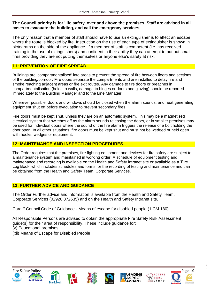#### **The Council priority is for 'life safety' over and above the premises. Staff are advised in all cases to evacuate the building, and call the emergency services.**

The only reason that a member of staff should have to use an extinguisher is to affect an escape where the route is blocked by fire. Instruction on the use of each type of extinguisher is shown in pictograms on the side of the appliance. If a member of staff is competent (i.e. has received training in the use of extinguishers) and confident in their ability they can attempt to put out small fires providing they are not putting themselves or anyone else's safety at risk.

## **11: PREVENTION OF FIRE SPREAD**

Buildings are 'compartmentalised' into areas to prevent the spread of fire between floors and sections of the building/corridor. Fire doors separate the compartments and are installed to delay fire and smoke reaching adjacent areas or fire exit routes. Any damage to fire doors or breaches in compartmentalisation (holes to walls, damage to hinges or doors and glazing) should be reported immediately to the Building Manager and to the Line Manager.

Wherever possible, doors and windows should be closed when the alarm sounds, and heat generating equipment shut off before evacuation to prevent secondary fires.

Fire doors must be kept shut, unless they are on an automatic system. This may be a magnetised electrical system that switches off as the alarm sounds releasing the doors, or in smaller premises may be used for individual doors where the sound of the fire alarm triggers the release of a bolt holding the door open. In all other situations, fire doors must be kept shut and must not be wedged or held open with hooks, wedges or equipment.

## **12: MAINTENANCE AND INSPECTION PROCEDURES**

The Order requires that the premises, fire fighting equipment and devices for fire safety are subject to a maintenance system and maintained in working order. A schedule of equipment testing and maintenance and recording is available on the Health and Safety Intranet site or available as a 'Fire Log Book' which includes schedules and forms for the recording of testing and maintenance and can be obtained from the Health and Safety Team, Corporate Services.

## **13: FURTHER ADVICE AND GUIDANCE**

The Order Further advice and information is available from the Health and Safety Team, Corporate Services (02920 872635) and on the Health and Safety Intranet site.

Cardiff Council Code of Guidance - Means of escape for disabled people (1.CM.180)

All Responsible Persons are advised to obtain the appropriate Fire Safety Risk Assessment guide(s) for their area of responsibility. These include guidance for:

- (v) Educational premises
- (xii) Means of Escape for Disabled People













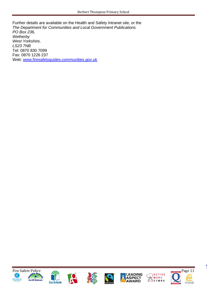Further details are available on the Health and Safety Intranet site, or the *The Department for Communities and Local Government Publications PO Box 236, Wetherby West Yorkshire, LS23 7NB*  Tel: 0870 830 7099 Fax: 0870 1226 237 Web: [www.firesafetyguides.communities.gov.uk](http://www.firesafetyguides.communities.gov.uk/)















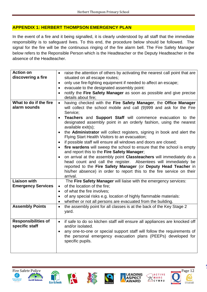## **APPENDIX 1: HERBERT THOMPSON EMERGENCY PLAN**

In the event of a fire and it being signalled, it is clearly understood by all staff that the immediate responsibility is to safeguard lives. To this end, the procedure below should be followed. The signal for the fire will be the continuous ringing of the fire alarm bell. The Fire Safety Manager below refers to the Reponsible Person which is the Headteacher or the Deputy Headteacher in the absence of the Headteacher.

| <b>Action on</b><br>discovering a fire<br>What to do if the fire<br>alarm sounds | raise the attention of others by activating the nearest call point that are<br>$\bullet$<br>situated on all escape routes;<br>only use fire-fighting equipment if needed to affect an escape;<br>$\bullet$<br>evacuate to the designated assembly point:<br>$\bullet$<br>notify the Fire Safety Manager as soon as possible and give precise<br>details about fire;<br>having checked with the Fire Safety Manager, the Office Manager<br>will collect the school mobile and call (9)999 and ask for the Fire<br>Service;<br><b>Teachers</b> and <b>Support Staff</b> will commence evacuation to the<br>designated assembly point in an orderly fashion, using the nearest<br>available exit(s);<br>the <b>Administrator</b> will collect registers, signing in book and alert the<br>Flying Start Health Visitors to an evacuation;<br>if possible staff will ensure all windows and doors are closed;<br>fire wardens will sweep the school to ensure that the school is empty<br>and report this to the Fire Safety Manager;<br>on arrival at the assembly point Classteachers will immediately do a<br>head count and call the register. Absentees will immediately be<br>reported to the Fire Safety Manager (or Deputy Head Teacher in<br>his/her absence) in order to report this to the fire service on their<br>arrival. |
|----------------------------------------------------------------------------------|------------------------------------------------------------------------------------------------------------------------------------------------------------------------------------------------------------------------------------------------------------------------------------------------------------------------------------------------------------------------------------------------------------------------------------------------------------------------------------------------------------------------------------------------------------------------------------------------------------------------------------------------------------------------------------------------------------------------------------------------------------------------------------------------------------------------------------------------------------------------------------------------------------------------------------------------------------------------------------------------------------------------------------------------------------------------------------------------------------------------------------------------------------------------------------------------------------------------------------------------------------------------------------------------------------------------------------|
| <b>Liaison with</b><br><b>Emergency Services</b>                                 | The Fire Safety Manager will liaise with the emergency services:<br>of the location of the fire;<br>$\bullet$<br>of what the fire involves;<br>$\bullet$<br>of any special risks e.g. location of highly flammable materials:<br>$\bullet$<br>whether or not all persons are evacuated from the building.<br>$\bullet$                                                                                                                                                                                                                                                                                                                                                                                                                                                                                                                                                                                                                                                                                                                                                                                                                                                                                                                                                                                                             |
| <b>Assembly Points</b>                                                           | the assembly point for all classes is at the back of the Key Stage 2<br>$\bullet$<br>yard.                                                                                                                                                                                                                                                                                                                                                                                                                                                                                                                                                                                                                                                                                                                                                                                                                                                                                                                                                                                                                                                                                                                                                                                                                                         |
| <b>Responsibilities of</b><br>specific staff                                     | if safe to do so kitchen staff will ensure all appliances are knocked off<br>$\bullet$<br>and/or isolated.<br>any one-to-one or special support staff will follow the requirements of<br>the personal emergency evacuation plans (PEEPs) developed for<br>specific pupils.                                                                                                                                                                                                                                                                                                                                                                                                                                                                                                                                                                                                                                                                                                                                                                                                                                                                                                                                                                                                                                                         |













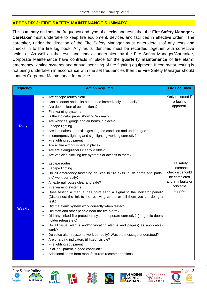#### **APPENDIX 2: FIRE SAFETY MAINTENANCE SUMMARY**

This summary outlines the frequency and type of checks and tests that the **Fire Safety Manager** / **Caretaker** must undertake to keep fire equipment, devices and facilities in effective order. The caretaker, under the direction of the Fire Safety Manager must enter details of any tests and checks in to the fire log book. Any faults identified must be recorded together with corrective actions. As well as the tests and checks undertaken by the Fire Safety Manager/Caretaker, Corporate Maintenance have contracts in place for the **quarterly maintenance** of fire alarm, emergency lighting systems and annual servicing of fire fighting equipment. If contractor testing is not being undertaken in accordance with the set frequencies then the Fire Safety Manager should contact Corporate Maintenance for advice.

| <b>Frequency</b> | <b>Action Required</b>                                                                                                                                                                                                                                                                                                                                                                                                                                                                                                                                                                                                                                                                                                                                                                                                                                                                                                                                                                                                                                                                 | <b>Fire Log Book</b>                                                                                       |
|------------------|----------------------------------------------------------------------------------------------------------------------------------------------------------------------------------------------------------------------------------------------------------------------------------------------------------------------------------------------------------------------------------------------------------------------------------------------------------------------------------------------------------------------------------------------------------------------------------------------------------------------------------------------------------------------------------------------------------------------------------------------------------------------------------------------------------------------------------------------------------------------------------------------------------------------------------------------------------------------------------------------------------------------------------------------------------------------------------------|------------------------------------------------------------------------------------------------------------|
| <b>Daily</b>     | Are escape routes clear?<br>$\bullet$<br>Can all doors and exits be opened immediately and easily?<br>٠<br>Are doors clear of obstructions?<br>$\bullet$<br>Fire warning systems<br>$\bullet$<br>Is the indicator panel showing 'normal'?<br>$\bullet$<br>Are whistles, gongs and air horns in place?<br>$\bullet$<br>Escape lighting<br>$\bullet$<br>Are luminaires and exit signs in good condition and undamaged?<br>$\bullet$<br>Is emergency lighting and sign lighting working correctly?<br>$\bullet$<br>Firefighting equipment<br>$\bullet$<br>Are all fire extinguishers in place?<br>$\bullet$<br>Are fire extinguishers clearly visible?<br>$\bullet$<br>Are vehicles blocking fire hydrants or access to them?<br>$\bullet$                                                                                                                                                                                                                                                                                                                                                | Only recorded if<br>a fault is<br>apparent.                                                                |
| <b>Weekly</b>    | Escape routes<br>$\bullet$<br>Escape lighting<br>$\bullet$<br>Do all emergency fastening devices to fire exits (push bards and pads,<br>$\bullet$<br>etc) work correctly?<br>All external routes clear and safe?<br>$\bullet$<br>Fire warning systems<br>$\bullet$<br>Does testing a manual call point send a signal to the indicator panel?<br>$\bullet$<br>(Disconnect the link to the receiving centre or tell them you are doing a<br>test.)<br>Did the alarm system work correctly when tested?<br>٠<br>Did staff and other people hear the fire alarm?<br>$\bullet$<br>Did any linked fire protection systems operate correctly? (magnetic doors<br>$\bullet$<br>holder release etc)<br>Do all visual alarms and/or vibrating alarms and pagers) as applicable)<br>$\bullet$<br>work?<br>Do voice alarm systems work correctly? Was the message understood?<br>٠<br>Are charging indicators (if fitted) visible?<br>$\bullet$<br>Firefighting equipment<br>$\bullet$<br>Is all equipment in good condition?<br>$\bullet$<br>Additional items from manufacturers recommendations. | Fire safety<br>maintenance<br>checklist should<br>be completed<br>and any faults or<br>concerns<br>logged. |













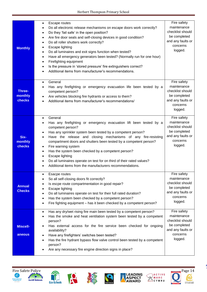| <b>Monthly</b>                 | Escape routes<br>$\bullet$<br>Do all electronic release mechanisms on escape doors work correctly?<br>$\bullet$<br>Do they 'fail safe' in the open position?<br>$\bullet$<br>Are fire door seals and self-closing devices in good condition?<br>$\bullet$<br>Do all roller shutters work correctly?<br>$\bullet$<br>Escape lighting<br>$\bullet$<br>Do all luminaires and exit signs function when tested?<br>$\bullet$<br>Have all emergency generators been tested? (Normally run for one hour)<br>٠<br>Firefighting equipment<br>٠<br>Is the pressure in 'stored pressure' fire extinguishers correct?<br>$\bullet$<br>Additional items from manufacturer's recommendations. | Fire safety<br>maintenance<br>checklist should<br>be completed<br>and any faults or<br>concerns<br>logged. |
|--------------------------------|---------------------------------------------------------------------------------------------------------------------------------------------------------------------------------------------------------------------------------------------------------------------------------------------------------------------------------------------------------------------------------------------------------------------------------------------------------------------------------------------------------------------------------------------------------------------------------------------------------------------------------------------------------------------------------|------------------------------------------------------------------------------------------------------------|
| Three-<br>monthly<br>checks    | General<br>$\bullet$<br>Has any firefighting or emergency evacuation life been tested by a<br>competent person?<br>Are vehicles blocking fire hydrants or access to them?<br>٠<br>Additional items from manufacturer's recommendations/<br>$\bullet$                                                                                                                                                                                                                                                                                                                                                                                                                            | Fire safety<br>maintenance<br>checklist should<br>be completed<br>and any faults or<br>concerns<br>logged. |
| Six-<br>monthly<br>checks      | General<br>$\bullet$<br>Has any firefighting or emergency evacuation lift been tested by a<br>$\bullet$<br>competent person?<br>Has any sprinkler system been tested by a competent person?<br>٠<br>Have the release and closing mechanisms of any fire-resisting<br>$\bullet$<br>compartment doors and shutters been tested by a competent person?<br>Fire warning system<br>$\bullet$<br>Has the system been checked by a competent person?<br>$\bullet$<br>Escape lighting<br>$\bullet$<br>Do all luminaires operate on test for on third of their rated values?<br>Additional items from the manufacturers recommendations.                                                 | Fire safety<br>maintenance<br>checklist should<br>be completed<br>and any faults or<br>concerns<br>logged. |
| <b>Annual</b><br><b>Checks</b> | Esacpe routes<br>٠<br>So all self-closing doors fit correctly?<br>٠<br>Is escpe route compartmentation in good repair?<br>Escape lighting<br>٠<br>Do all luminaires operate on test for their full rated duration?<br>$\bullet$<br>Has the system been checked by a competent person?<br>$\bullet$<br>Fire fighting equipment - has it been checked by a competent person?<br>$\bullet$                                                                                                                                                                                                                                                                                         | Fire safety<br>maintenance<br>checklist should<br>be completed<br>and any faults or<br>concerns<br>logged. |
| <b>Miscell-</b><br>aneous      | Has any dry/wet rising fire main been tested by a competent person?<br>$\bullet$<br>Has the smoke and heat ventilation system been tested by a competent<br>$\bullet$<br>person?<br>Has external access for the fire service been checked for ongoing<br>availability?<br>Have any firefighters' switches been tested?<br>٠<br>Has the fire hydrant bypass flow valve control been tested by a competent<br>person?<br>Are any necessary fire engine direction signs in place?                                                                                                                                                                                                  | Fire safety<br>maintenance<br>checklist should<br>be completed<br>and any faults or<br>concerns<br>logged. |















÷,